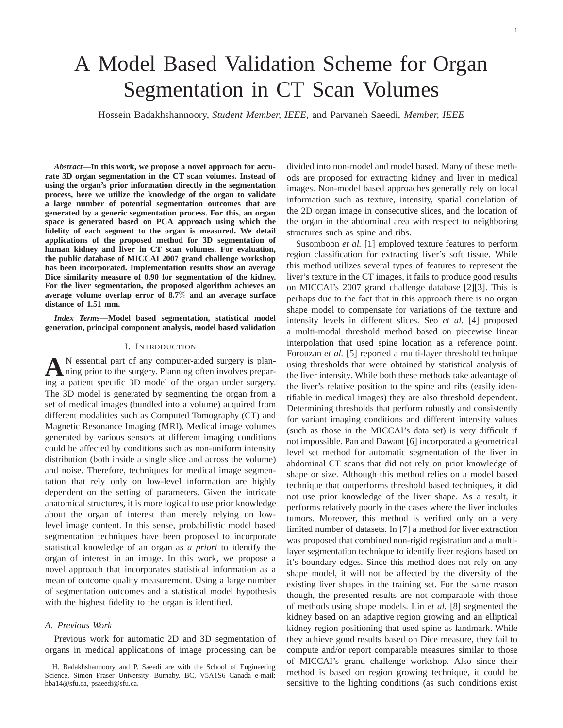# A Model Based Validation Scheme for Organ Segmentation in CT Scan Volumes

Hossein Badakhshannoory, *Student Member, IEEE,* and Parvaneh Saeedi, *Member, IEEE*

*Abstract***—In this work, we propose a novel approach for accurate 3D organ segmentation in the CT scan volumes. Instead of using the organ's prior information directly in the segmentation process, here we utilize the knowledge of the organ to validate a large number of potential segmentation outcomes that are generated by a generic segmentation process. For this, an organ space is generated based on PCA approach using which the fidelity of each segment to the organ is measured. We detail applications of the proposed method for 3D segmentation of human kidney and liver in CT scan volumes. For evaluation, the public database of MICCAI 2007 grand challenge workshop has been incorporated. Implementation results show an average Dice similarity measure of 0.90 for segmentation of the kidney. For the liver segmentation, the proposed algorithm achieves an average volume overlap error of 8.7**% **and an average surface distance of 1.51 mm.**

*Index Terms***—Model based segmentation, statistical model generation, principal component analysis, model based validation**

## I. INTRODUCTION

A <sup>N</sup> essential part of any computer-aided surgery is plan-<br>hing prior to the surgery. Planning often involves prepar-N essential part of any computer-aided surgery is planing a patient specific 3D model of the organ under surgery. The 3D model is generated by segmenting the organ from a set of medical images (bundled into a volume) acquired from different modalities such as Computed Tomography (CT) and Magnetic Resonance Imaging (MRI). Medical image volumes generated by various sensors at different imaging conditions could be affected by conditions such as non-uniform intensity distribution (both inside a single slice and across the volume) and noise. Therefore, techniques for medical image segmentation that rely only on low-level information are highly dependent on the setting of parameters. Given the intricate anatomical structures, it is more logical to use prior knowledge about the organ of interest than merely relying on lowlevel image content. In this sense, probabilistic model based segmentation techniques have been proposed to incorporate statistical knowledge of an organ as *a priori* to identify the organ of interest in an image. In this work, we propose a novel approach that incorporates statistical information as a mean of outcome quality measurement. Using a large number of segmentation outcomes and a statistical model hypothesis with the highest fidelity to the organ is identified.

#### *A. Previous Work*

Previous work for automatic 2D and 3D segmentation of organs in medical applications of image processing can be

divided into non-model and model based. Many of these methods are proposed for extracting kidney and liver in medical images. Non-model based approaches generally rely on local information such as texture, intensity, spatial correlation of the 2D organ image in consecutive slices, and the location of the organ in the abdominal area with respect to neighboring structures such as spine and ribs.

Susomboon *et al.* [1] employed texture features to perform region classification for extracting liver's soft tissue. While this method utilizes several types of features to represent the liver's texture in the CT images, it fails to produce good results on MICCAI's 2007 grand challenge database [2][3]. This is perhaps due to the fact that in this approach there is no organ shape model to compensate for variations of the texture and intensity levels in different slices. Seo *et al.* [4] proposed a multi-modal threshold method based on piecewise linear interpolation that used spine location as a reference point. Forouzan *et al.* [5] reported a multi-layer threshold technique using thresholds that were obtained by statistical analysis of the liver intensity. While both these methods take advantage of the liver's relative position to the spine and ribs (easily identifiable in medical images) they are also threshold dependent. Determining thresholds that perform robustly and consistently for variant imaging conditions and different intensity values (such as those in the MICCAI's data set) is very difficult if not impossible. Pan and Dawant [6] incorporated a geometrical level set method for automatic segmentation of the liver in abdominal CT scans that did not rely on prior knowledge of shape or size. Although this method relies on a model based technique that outperforms threshold based techniques, it did not use prior knowledge of the liver shape. As a result, it performs relatively poorly in the cases where the liver includes tumors. Moreover, this method is verified only on a very limited number of datasets. In [7] a method for liver extraction was proposed that combined non-rigid registration and a multilayer segmentation technique to identify liver regions based on it's boundary edges. Since this method does not rely on any shape model, it will not be affected by the diversity of the existing liver shapes in the training set. For the same reason though, the presented results are not comparable with those of methods using shape models. Lin *et al.* [8] segmented the kidney based on an adaptive region growing and an elliptical kidney region positioning that used spine as landmark. While they achieve good results based on Dice measure, they fail to compute and/or report comparable measures similar to those of MICCAI's grand challenge workshop. Also since their method is based on region growing technique, it could be sensitive to the lighting conditions (as such conditions exist

H. Badakhshannoory and P. Saeedi are with the School of Engineering Science, Simon Fraser University, Burnaby, BC, V5A1S6 Canada e-mail: hba14@sfu.ca, psaeedi@sfu.ca.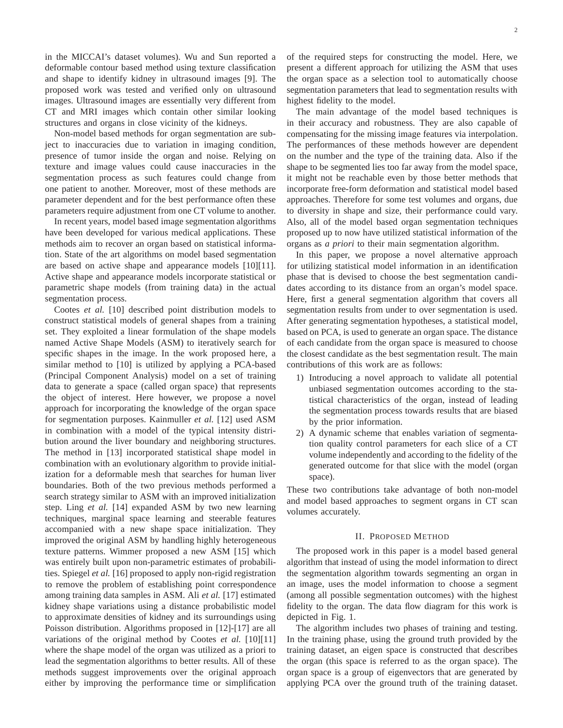in the MICCAI's dataset volumes). Wu and Sun reported a deformable contour based method using texture classification and shape to identify kidney in ultrasound images [9]. The proposed work was tested and verified only on ultrasound images. Ultrasound images are essentially very different from CT and MRI images which contain other similar looking structures and organs in close vicinity of the kidneys.

Non-model based methods for organ segmentation are subject to inaccuracies due to variation in imaging condition, presence of tumor inside the organ and noise. Relying on texture and image values could cause inaccuracies in the segmentation process as such features could change from one patient to another. Moreover, most of these methods are parameter dependent and for the best performance often these parameters require adjustment from one CT volume to another.

In recent years, model based image segmentation algorithms have been developed for various medical applications. These methods aim to recover an organ based on statistical information. State of the art algorithms on model based segmentation are based on active shape and appearance models [10][11]. Active shape and appearance models incorporate statistical or parametric shape models (from training data) in the actual segmentation process.

Cootes *et al.* [10] described point distribution models to construct statistical models of general shapes from a training set. They exploited a linear formulation of the shape models named Active Shape Models (ASM) to iteratively search for specific shapes in the image. In the work proposed here, a similar method to [10] is utilized by applying a PCA-based (Principal Component Analysis) model on a set of training data to generate a space (called organ space) that represents the object of interest. Here however, we propose a novel approach for incorporating the knowledge of the organ space for segmentation purposes. Kainmuller *et al.* [12] used ASM in combination with a model of the typical intensity distribution around the liver boundary and neighboring structures. The method in [13] incorporated statistical shape model in combination with an evolutionary algorithm to provide initialization for a deformable mesh that searches for human liver boundaries. Both of the two previous methods performed a search strategy similar to ASM with an improved initialization step. Ling *et al.* [14] expanded ASM by two new learning techniques, marginal space learning and steerable features accompanied with a new shape space initialization. They improved the original ASM by handling highly heterogeneous texture patterns. Wimmer proposed a new ASM [15] which was entirely built upon non-parametric estimates of probabilities. Spiegel *et al.* [16] proposed to apply non-rigid registration to remove the problem of establishing point correspondence among training data samples in ASM. Ali *et al.* [17] estimated kidney shape variations using a distance probabilistic model to approximate densities of kidney and its surroundings using Poisson distribution. Algorithms proposed in [12]-[17] are all variations of the original method by Cootes *et al.* [10][11] where the shape model of the organ was utilized as a priori to lead the segmentation algorithms to better results. All of these methods suggest improvements over the original approach either by improving the performance time or simplification

of the required steps for constructing the model. Here, we present a different approach for utilizing the ASM that uses the organ space as a selection tool to automatically choose segmentation parameters that lead to segmentation results with highest fidelity to the model.

The main advantage of the model based techniques is in their accuracy and robustness. They are also capable of compensating for the missing image features via interpolation. The performances of these methods however are dependent on the number and the type of the training data. Also if the shape to be segmented lies too far away from the model space, it might not be reachable even by those better methods that incorporate free-form deformation and statistical model based approaches. Therefore for some test volumes and organs, due to diversity in shape and size, their performance could vary. Also, all of the model based organ segmentation techniques proposed up to now have utilized statistical information of the organs as *a priori* to their main segmentation algorithm.

In this paper, we propose a novel alternative approach for utilizing statistical model information in an identification phase that is devised to choose the best segmentation candidates according to its distance from an organ's model space. Here, first a general segmentation algorithm that covers all segmentation results from under to over segmentation is used. After generating segmentation hypotheses, a statistical model, based on PCA, is used to generate an organ space. The distance of each candidate from the organ space is measured to choose the closest candidate as the best segmentation result. The main contributions of this work are as follows:

- 1) Introducing a novel approach to validate all potential unbiased segmentation outcomes according to the statistical characteristics of the organ, instead of leading the segmentation process towards results that are biased by the prior information.
- 2) A dynamic scheme that enables variation of segmentation quality control parameters for each slice of a CT volume independently and according to the fidelity of the generated outcome for that slice with the model (organ space).

These two contributions take advantage of both non-model and model based approaches to segment organs in CT scan volumes accurately.

#### II. PROPOSED METHOD

The proposed work in this paper is a model based general algorithm that instead of using the model information to direct the segmentation algorithm towards segmenting an organ in an image, uses the model information to choose a segment (among all possible segmentation outcomes) with the highest fidelity to the organ. The data flow diagram for this work is depicted in Fig. 1.

The algorithm includes two phases of training and testing. In the training phase, using the ground truth provided by the training dataset, an eigen space is constructed that describes the organ (this space is referred to as the organ space). The organ space is a group of eigenvectors that are generated by applying PCA over the ground truth of the training dataset.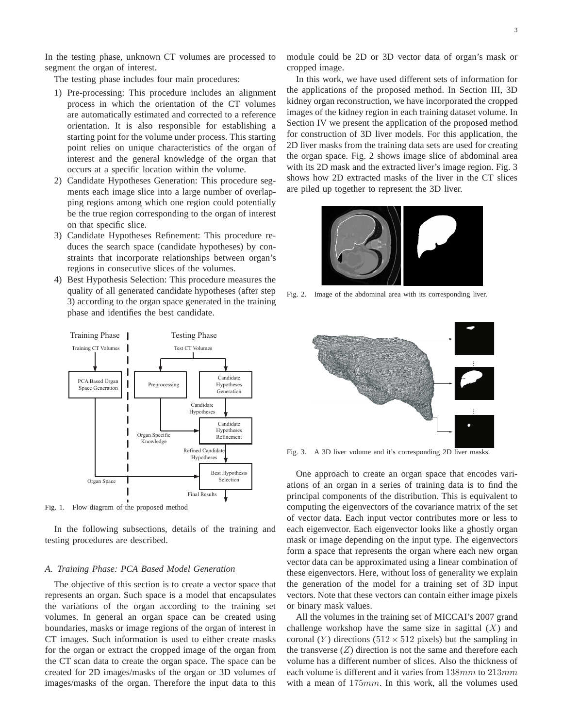In the testing phase, unknown CT volumes are processed to segment the organ of interest.

The testing phase includes four main procedures:

- 1) Pre-processing: This procedure includes an alignment process in which the orientation of the CT volumes are automatically estimated and corrected to a reference orientation. It is also responsible for establishing a starting point for the volume under process. This starting point relies on unique characteristics of the organ of interest and the general knowledge of the organ that occurs at a specific location within the volume.
- 2) Candidate Hypotheses Generation: This procedure segments each image slice into a large number of overlapping regions among which one region could potentially be the true region corresponding to the organ of interest on that specific slice.
- 3) Candidate Hypotheses Refinement: This procedure reduces the search space (candidate hypotheses) by constraints that incorporate relationships between organ's regions in consecutive slices of the volumes.
- 4) Best Hypothesis Selection: This procedure measures the quality of all generated candidate hypotheses (after step 3) according to the organ space generated in the training phase and identifies the best candidate.



Fig. 1. Flow diagram of the proposed method

In the following subsections, details of the training and testing procedures are described.

#### *A. Training Phase: PCA Based Model Generation*

The objective of this section is to create a vector space that represents an organ. Such space is a model that encapsulates the variations of the organ according to the training set volumes. In general an organ space can be created using boundaries, masks or image regions of the organ of interest in CT images. Such information is used to either create masks for the organ or extract the cropped image of the organ from the CT scan data to create the organ space. The space can be created for 2D images/masks of the organ or 3D volumes of images/masks of the organ. Therefore the input data to this

module could be 2D or 3D vector data of organ's mask or cropped image.

In this work, we have used different sets of information for the applications of the proposed method. In Section III, 3D kidney organ reconstruction, we have incorporated the cropped images of the kidney region in each training dataset volume. In Section IV we present the application of the proposed method for construction of 3D liver models. For this application, the 2D liver masks from the training data sets are used for creating the organ space. Fig. 2 shows image slice of abdominal area with its 2D mask and the extracted liver's image region. Fig. 3 shows how 2D extracted masks of the liver in the CT slices are piled up together to represent the 3D liver.



Fig. 2. Image of the abdominal area with its corresponding liver.



Fig. 3. A 3D liver volume and it's corresponding 2D liver masks.

One approach to create an organ space that encodes variations of an organ in a series of training data is to find the principal components of the distribution. This is equivalent to computing the eigenvectors of the covariance matrix of the set of vector data. Each input vector contributes more or less to each eigenvector. Each eigenvector looks like a ghostly organ mask or image depending on the input type. The eigenvectors form a space that represents the organ where each new organ vector data can be approximated using a linear combination of these eigenvectors. Here, without loss of generality we explain the generation of the model for a training set of 3D input vectors. Note that these vectors can contain either image pixels or binary mask values.

All the volumes in the training set of MICCAI's 2007 grand challenge workshop have the same size in sagittal  $(X)$  and coronal (Y) directions (512  $\times$  512 pixels) but the sampling in the transverse  $(Z)$  direction is not the same and therefore each volume has a different number of slices. Also the thickness of each volume is different and it varies from  $138mm$  to  $213mm$ with a mean of 175mm. In this work, all the volumes used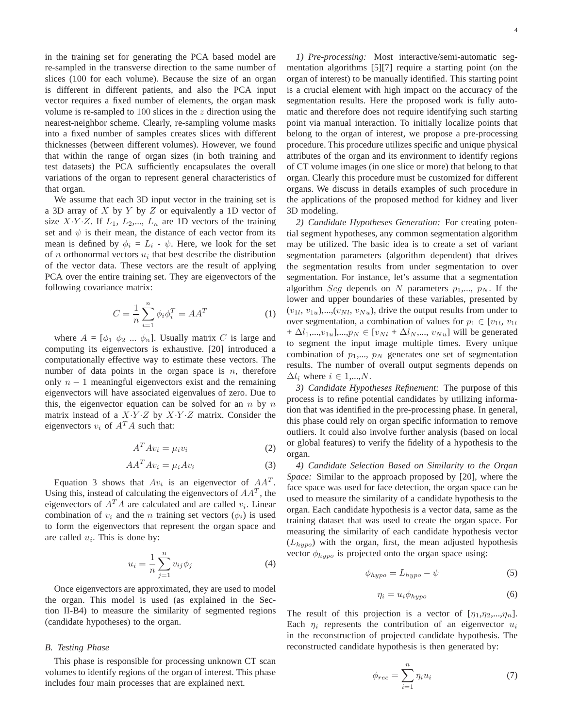in the training set for generating the PCA based model are re-sampled in the transverse direction to the same number of slices (100 for each volume). Because the size of an organ is different in different patients, and also the PCA input vector requires a fixed number of elements, the organ mask volume is re-sampled to 100 slices in the  $z$  direction using the nearest-neighbor scheme. Clearly, re-sampling volume masks into a fixed number of samples creates slices with different thicknesses (between different volumes). However, we found that within the range of organ sizes (in both training and test datasets) the PCA sufficiently encapsulates the overall variations of the organ to represent general characteristics of that organ.

We assume that each 3D input vector in the training set is a 3D array of  $X$  by  $Y$  by  $Z$  or equivalently a 1D vector of size  $X \cdot Y \cdot Z$ . If  $L_1$ ,  $L_2$ ,...,  $L_n$  are 1D vectors of the training set and  $\psi$  is their mean, the distance of each vector from its mean is defined by  $\phi_i = L_i - \psi$ . Here, we look for the set of *n* orthonormal vectors  $u_i$  that best describe the distribution of the vector data. These vectors are the result of applying PCA over the entire training set. They are eigenvectors of the following covariance matrix:

$$
C = \frac{1}{n} \sum_{i=1}^{n} \phi_i \phi_i^T = AA^T \tag{1}
$$

where  $A = [\phi_1 \phi_2 \dots \phi_n]$ . Usually matrix C is large and computing its eigenvectors is exhaustive. [20] introduced a computationally effective way to estimate these vectors. The number of data points in the organ space is  $n$ , therefore only  $n - 1$  meaningful eigenvectors exist and the remaining eigenvectors will have associated eigenvalues of zero. Due to this, the eigenvector equation can be solved for an  $n$  by  $n$ matrix instead of a  $X \cdot Y \cdot Z$  by  $X \cdot Y \cdot Z$  matrix. Consider the eigenvectors  $v_i$  of  $A<sup>T</sup>A$  such that:

$$
A^T A v_i = \mu_i v_i \tag{2}
$$

$$
AA^T A v_i = \mu_i A v_i \tag{3}
$$

Equation 3 shows that  $Av_i$  is an eigenvector of  $AA<sup>T</sup>$ . Using this, instead of calculating the eigenvectors of  $AA<sup>T</sup>$ , the eigenvectors of  $A^T A$  are calculated and are called  $v_i$ . Linear combination of  $v_i$  and the n training set vectors  $(\phi_i)$  is used to form the eigenvectors that represent the organ space and are called  $u_i$ . This is done by:

$$
u_i = \frac{1}{n} \sum_{j=1}^{n} v_{ij} \phi_j
$$
 (4)

Once eigenvectors are approximated, they are used to model the organ. This model is used (as explained in the Section II-B4) to measure the similarity of segmented regions (candidate hypotheses) to the organ.

## *B. Testing Phase*

This phase is responsible for processing unknown CT scan volumes to identify regions of the organ of interest. This phase includes four main processes that are explained next.

*1) Pre-processing:* Most interactive/semi-automatic segmentation algorithms [5][7] require a starting point (on the organ of interest) to be manually identified. This starting point is a crucial element with high impact on the accuracy of the segmentation results. Here the proposed work is fully automatic and therefore does not require identifying such starting point via manual interaction. To initially localize points that belong to the organ of interest, we propose a pre-processing procedure. This procedure utilizes specific and unique physical attributes of the organ and its environment to identify regions of CT volume images (in one slice or more) that belong to that organ. Clearly this procedure must be customized for different organs. We discuss in details examples of such procedure in the applications of the proposed method for kidney and liver 3D modeling.

*2) Candidate Hypotheses Generation:* For creating potential segment hypotheses, any common segmentation algorithm may be utilized. The basic idea is to create a set of variant segmentation parameters (algorithm dependent) that drives the segmentation results from under segmentation to over segmentation. For instance, let's assume that a segmentation algorithm Seq depends on N parameters  $p_1,..., p_N$ . If the lower and upper boundaries of these variables, presented by  $(v_{1l}, v_{1u}),..., (v_{Nl}, v_{Nu})$ , drive the output results from under to over segmentation, a combination of values for  $p_1 \in [v_{1l}, v_{1l}]$  $+ \Delta l_1,...,v_{1u}],...,p_N \in [v_{Nl} + \Delta l_N,...,v_{Nu}]$  will be generated to segment the input image multiple times. Every unique combination of  $p_1,..., p_N$  generates one set of segmentation results. The number of overall output segments depends on  $\Delta l_i$  where  $i \in 1,...,N$ .

*3) Candidate Hypotheses Refinement:* The purpose of this process is to refine potential candidates by utilizing information that was identified in the pre-processing phase. In general, this phase could rely on organ specific information to remove outliers. It could also involve further analysis (based on local or global features) to verify the fidelity of a hypothesis to the organ.

*4) Candidate Selection Based on Similarity to the Organ Space:* Similar to the approach proposed by [20], where the face space was used for face detection, the organ space can be used to measure the similarity of a candidate hypothesis to the organ. Each candidate hypothesis is a vector data, same as the training dataset that was used to create the organ space. For measuring the similarity of each candidate hypothesis vector  $(L_{hypo})$  with the organ, first, the mean adjusted hypothesis vector  $\phi_{hypo}$  is projected onto the organ space using:

$$
\phi_{hypo} = L_{hypo} - \psi \tag{5}
$$

$$
\eta_i = u_i \phi_{hypo} \tag{6}
$$

The result of this projection is a vector of  $[\eta_1, \eta_2, ..., \eta_n]$ . Each  $\eta_i$  represents the contribution of an eigenvector  $u_i$ in the reconstruction of projected candidate hypothesis. The reconstructed candidate hypothesis is then generated by:

$$
\phi_{rec} = \sum_{i=1}^{n} \eta_i u_i \tag{7}
$$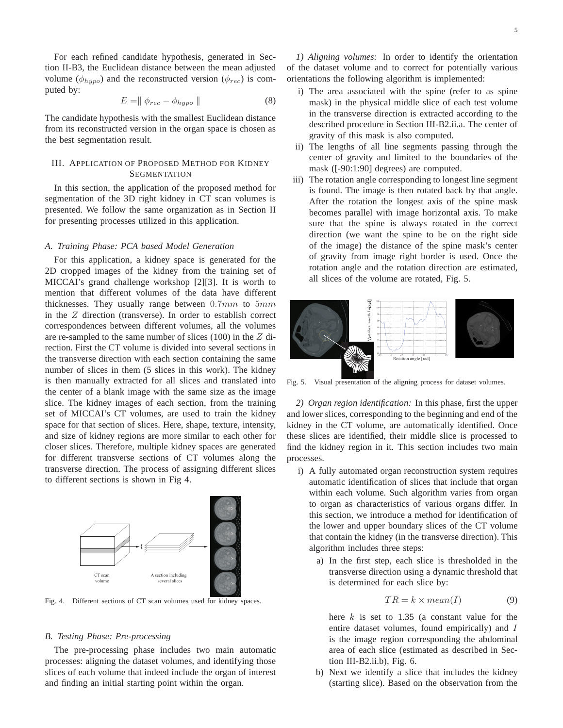For each refined candidate hypothesis, generated in Section II-B3, the Euclidean distance between the mean adjusted volume ( $\phi_{hypo}$ ) and the reconstructed version ( $\phi_{rec}$ ) is computed by:

$$
E = \parallel \phi_{rec} - \phi_{hypo} \parallel \tag{8}
$$

The candidate hypothesis with the smallest Euclidean distance from its reconstructed version in the organ space is chosen as the best segmentation result.

# III. APPLICATION OF PROPOSED METHOD FOR KIDNEY **SEGMENTATION**

In this section, the application of the proposed method for segmentation of the 3D right kidney in CT scan volumes is presented. We follow the same organization as in Section II for presenting processes utilized in this application.

#### *A. Training Phase: PCA based Model Generation*

For this application, a kidney space is generated for the 2D cropped images of the kidney from the training set of MICCAI's grand challenge workshop [2][3]. It is worth to mention that different volumes of the data have different thicknesses. They usually range between  $0.7mm$  to  $5mm$ in the  $Z$  direction (transverse). In order to establish correct correspondences between different volumes, all the volumes are re-sampled to the same number of slices  $(100)$  in the Z direction. First the CT volume is divided into several sections in the transverse direction with each section containing the same number of slices in them (5 slices in this work). The kidney is then manually extracted for all slices and translated into the center of a blank image with the same size as the image slice. The kidney images of each section, from the training set of MICCAI's CT volumes, are used to train the kidney space for that section of slices. Here, shape, texture, intensity, and size of kidney regions are more similar to each other for closer slices. Therefore, multiple kidney spaces are generated for different transverse sections of CT volumes along the transverse direction. The process of assigning different slices to different sections is shown in Fig 4.



Fig. 4. Different sections of CT scan volumes used for kidney spaces.

#### *B. Testing Phase: Pre-processing*

The pre-processing phase includes two main automatic processes: aligning the dataset volumes, and identifying those slices of each volume that indeed include the organ of interest and finding an initial starting point within the organ.

*1) Aligning volumes:* In order to identify the orientation of the dataset volume and to correct for potentially various orientations the following algorithm is implemented:

- i) The area associated with the spine (refer to as spine mask) in the physical middle slice of each test volume in the transverse direction is extracted according to the described procedure in Section III-B2.ii.a. The center of gravity of this mask is also computed.
- ii) The lengths of all line segments passing through the center of gravity and limited to the boundaries of the mask ([-90:1:90] degrees) are computed.
- iii) The rotation angle corresponding to longest line segment is found. The image is then rotated back by that angle. After the rotation the longest axis of the spine mask becomes parallel with image horizontal axis. To make sure that the spine is always rotated in the correct direction (we want the spine to be on the right side of the image) the distance of the spine mask's center of gravity from image right border is used. Once the rotation angle and the rotation direction are estimated, all slices of the volume are rotated, Fig. 5.



Fig. 5. Visual presentation of the aligning process for dataset volumes.

*2) Organ region identification:* In this phase, first the upper and lower slices, corresponding to the beginning and end of the kidney in the CT volume, are automatically identified. Once these slices are identified, their middle slice is processed to find the kidney region in it. This section includes two main processes.

- i) A fully automated organ reconstruction system requires automatic identification of slices that include that organ within each volume. Such algorithm varies from organ to organ as characteristics of various organs differ. In this section, we introduce a method for identification of the lower and upper boundary slices of the CT volume that contain the kidney (in the transverse direction). This algorithm includes three steps:
	- a) In the first step, each slice is thresholded in the transverse direction using a dynamic threshold that is determined for each slice by:

$$
TR = k \times mean(I) \tag{9}
$$

here  $k$  is set to 1.35 (a constant value for the entire dataset volumes, found empirically) and I is the image region corresponding the abdominal area of each slice (estimated as described in Section III-B2.ii.b), Fig. 6.

b) Next we identify a slice that includes the kidney (starting slice). Based on the observation from the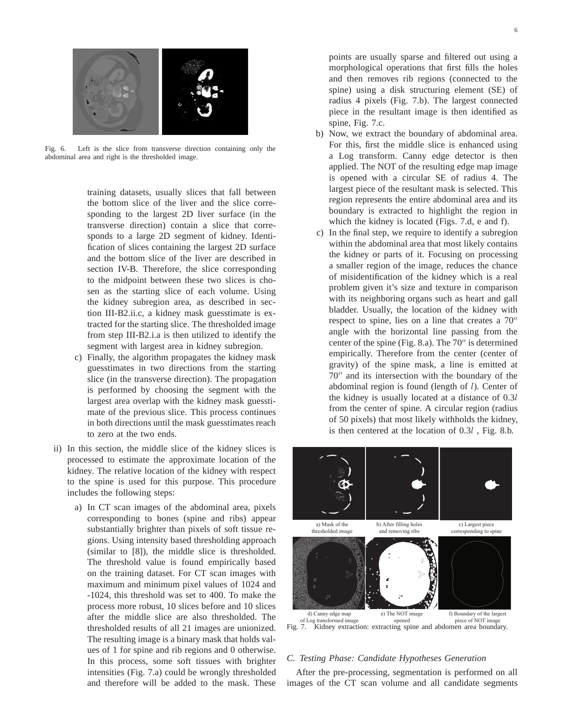

Fig. 6. Left is the slice from transverse direction containing only the abdominal area and right is the thresholded image.

training datasets, usually slices that fall between the bottom slice of the liver and the slice corresponding to the largest 2D liver surface (in the transverse direction) contain a slice that corresponds to a large 2D segment of kidney. Identification of slices containing the largest 2D surface and the bottom slice of the liver are described in section IV-B. Therefore, the slice corresponding to the midpoint between these two slices is chosen as the starting slice of each volume. Using the kidney subregion area, as described in section III-B2.ii.c, a kidney mask guesstimate is extracted for the starting slice. The thresholded image from step III-B2.i.a is then utilized to identify the segment with largest area in kidney subregion.

- c) Finally, the algorithm propagates the kidney mask guesstimates in two directions from the starting slice (in the transverse direction). The propagation is performed by choosing the segment with the largest area overlap with the kidney mask guesstimate of the previous slice. This process continues in both directions until the mask guesstimates reach to zero at the two ends.
- ii) In this section, the middle slice of the kidney slices is processed to estimate the approximate location of the kidney. The relative location of the kidney with respect to the spine is used for this purpose. This procedure includes the following steps:
	- a) In CT scan images of the abdominal area, pixels corresponding to bones (spine and ribs) appear substantially brighter than pixels of soft tissue regions. Using intensity based thresholding approach (similar to [8]), the middle slice is thresholded. The threshold value is found empirically based on the training dataset. For CT scan images with maximum and minimum pixel values of 1024 and -1024, this threshold was set to 400. To make the process more robust, 10 slices before and 10 slices after the middle slice are also thresholded. The thresholded results of all 21 images are unionized. The resulting image is a binary mask that holds values of 1 for spine and rib regions and 0 otherwise. In this process, some soft tissues with brighter intensities (Fig. 7.a) could be wrongly thresholded and therefore will be added to the mask. These

points are usually sparse and filtered out using a morphological operations that first fills the holes and then removes rib regions (connected to the spine) using a disk structuring element (SE) of radius 4 pixels (Fig. 7.b). The largest connected piece in the resultant image is then identified as spine, Fig. 7.c.

- b) Now, we extract the boundary of abdominal area. For this, first the middle slice is enhanced using a Log transform. Canny edge detector is then applied. The NOT of the resulting edge map image is opened with a circular SE of radius 4. The largest piece of the resultant mask is selected. This region represents the entire abdominal area and its boundary is extracted to highlight the region in which the kidney is located (Figs. 7.d, e and f).
- c) In the final step, we require to identify a subregion within the abdominal area that most likely contains the kidney or parts of it. Focusing on processing a smaller region of the image, reduces the chance of misidentification of the kidney which is a real problem given it's size and texture in comparison with its neighboring organs such as heart and gall bladder. Usually, the location of the kidney with respect to spine, lies on a line that creates a  $70^{\circ}$ angle with the horizontal line passing from the center of the spine (Fig. 8.a). The  $70^{\circ}$  is determined empirically. Therefore from the center (center of gravity) of the spine mask, a line is emitted at 70° and its intersection with the boundary of the abdominal region is found (length of l). Center of the kidney is usually located at a distance of 0.3l from the center of spine. A circular region (radius of 50 pixels) that most likely withholds the kidney, is then centered at the location of 0.3l , Fig. 8.b.



of Log transformed image opened piece of NOT image Fig. 7. Kidney extraction: extracting spine and abdomen area boundary.

## *C. Testing Phase: Candidate Hypotheses Generation*

After the pre-processing, segmentation is performed on all images of the CT scan volume and all candidate segments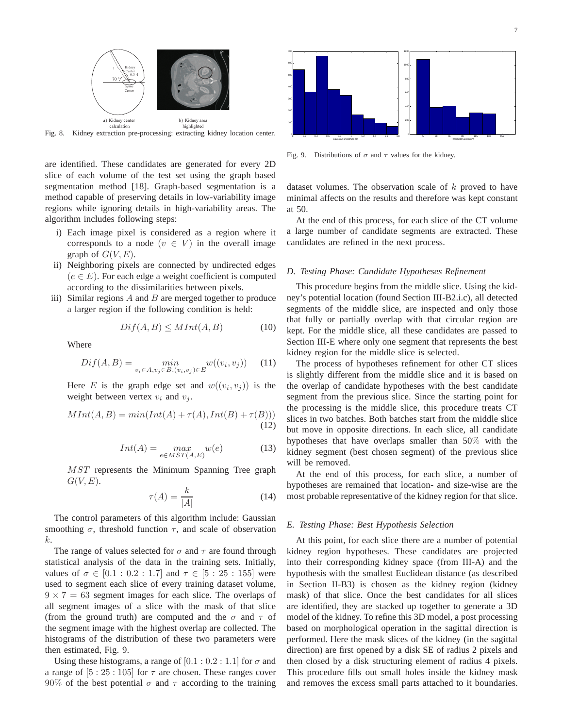

Fig. 8. Kidney extraction pre-processing: extracting kidney location center.

are identified. These candidates are generated for every 2D slice of each volume of the test set using the graph based segmentation method [18]. Graph-based segmentation is a method capable of preserving details in low-variability image regions while ignoring details in high-variability areas. The algorithm includes following steps:

- i) Each image pixel is considered as a region where it corresponds to a node  $(v \in V)$  in the overall image graph of  $G(V, E)$ .
- ii) Neighboring pixels are connected by undirected edges  $(e \in E)$ . For each edge a weight coefficient is computed according to the dissimilarities between pixels.
- iii) Similar regions  $A$  and  $B$  are merged together to produce a larger region if the following condition is held:

$$
Diff(A, B) \le MInt(A, B) \tag{10}
$$

Where

$$
Diff(A, B) = \min_{v_i \in A, v_j \in B, (v_i, v_j) \in E} w((v_i, v_j))
$$
 (11)

Here E is the graph edge set and  $w((v_i, v_j))$  is the weight between vertex  $v_i$  and  $v_j$ .

$$
MInt(A, B) = min(int(A) + \tau(A), Int(B) + \tau(B)))
$$
\n(12)

$$
Int(A) = \max_{e \in MST(A, E)} w(e) \tag{13}
$$

MST represents the Minimum Spanning Tree graph  $G(V, E)$ .

$$
\tau(A) = \frac{k}{|A|} \tag{14}
$$

The control parameters of this algorithm include: Gaussian smoothing  $\sigma$ , threshold function  $\tau$ , and scale of observation k.

The range of values selected for  $\sigma$  and  $\tau$  are found through statistical analysis of the data in the training sets. Initially, values of  $\sigma \in [0.1 : 0.2 : 1.7]$  and  $\tau \in [5 : 25 : 155]$  were used to segment each slice of every training dataset volume,  $9 \times 7 = 63$  segment images for each slice. The overlaps of all segment images of a slice with the mask of that slice (from the ground truth) are computed and the  $\sigma$  and  $\tau$  of the segment image with the highest overlap are collected. The histograms of the distribution of these two parameters were then estimated, Fig. 9.

Using these histograms, a range of  $[0.1 : 0.2 : 1.1]$  for  $\sigma$  and a range of  $[5:25:105]$  for  $\tau$  are chosen. These ranges cover 90% of the best potential  $\sigma$  and  $\tau$  according to the training



Fig. 9. Distributions of  $\sigma$  and  $\tau$  values for the kidney.

dataset volumes. The observation scale of  $k$  proved to have minimal affects on the results and therefore was kept constant at 50.

At the end of this process, for each slice of the CT volume a large number of candidate segments are extracted. These candidates are refined in the next process.

## *D. Testing Phase: Candidate Hypotheses Refinement*

This procedure begins from the middle slice. Using the kidney's potential location (found Section III-B2.i.c), all detected segments of the middle slice, are inspected and only those that fully or partially overlap with that circular region are kept. For the middle slice, all these candidates are passed to Section III-E where only one segment that represents the best kidney region for the middle slice is selected.

The process of hypotheses refinement for other CT slices is slightly different from the middle slice and it is based on the overlap of candidate hypotheses with the best candidate segment from the previous slice. Since the starting point for the processing is the middle slice, this procedure treats CT slices in two batches. Both batches start from the middle slice but move in opposite directions. In each slice, all candidate hypotheses that have overlaps smaller than 50% with the kidney segment (best chosen segment) of the previous slice will be removed.

At the end of this process, for each slice, a number of hypotheses are remained that location- and size-wise are the most probable representative of the kidney region for that slice.

#### *E. Testing Phase: Best Hypothesis Selection*

At this point, for each slice there are a number of potential kidney region hypotheses. These candidates are projected into their corresponding kidney space (from III-A) and the hypothesis with the smallest Euclidean distance (as described in Section II-B3) is chosen as the kidney region (kidney mask) of that slice. Once the best candidates for all slices are identified, they are stacked up together to generate a 3D model of the kidney. To refine this 3D model, a post processing based on morphological operation in the sagittal direction is performed. Here the mask slices of the kidney (in the sagittal direction) are first opened by a disk SE of radius 2 pixels and then closed by a disk structuring element of radius 4 pixels. This procedure fills out small holes inside the kidney mask and removes the excess small parts attached to it boundaries.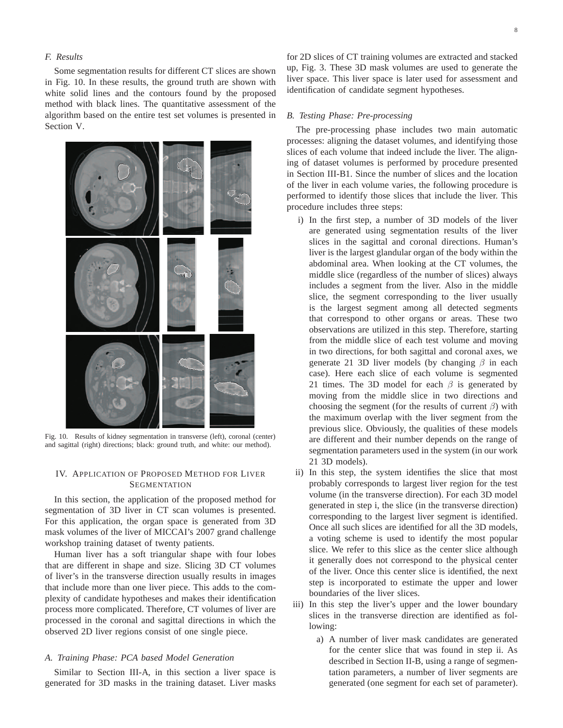# *F. Results*

Some segmentation results for different CT slices are shown in Fig. 10. In these results, the ground truth are shown with white solid lines and the contours found by the proposed method with black lines. The quantitative assessment of the algorithm based on the entire test set volumes is presented in Section V.



Fig. 10. Results of kidney segmentation in transverse (left), coronal (center) and sagittal (right) directions; black: ground truth, and white: our method).

## IV. APPLICATION OF PROPOSED METHOD FOR LIVER **SEGMENTATION**

In this section, the application of the proposed method for segmentation of 3D liver in CT scan volumes is presented. For this application, the organ space is generated from 3D mask volumes of the liver of MICCAI's 2007 grand challenge workshop training dataset of twenty patients.

Human liver has a soft triangular shape with four lobes that are different in shape and size. Slicing 3D CT volumes of liver's in the transverse direction usually results in images that include more than one liver piece. This adds to the complexity of candidate hypotheses and makes their identification process more complicated. Therefore, CT volumes of liver are processed in the coronal and sagittal directions in which the observed 2D liver regions consist of one single piece.

## *A. Training Phase: PCA based Model Generation*

Similar to Section III-A, in this section a liver space is generated for 3D masks in the training dataset. Liver masks for 2D slices of CT training volumes are extracted and stacked up, Fig. 3. These 3D mask volumes are used to generate the liver space. This liver space is later used for assessment and identification of candidate segment hypotheses.

#### *B. Testing Phase: Pre-processing*

The pre-processing phase includes two main automatic processes: aligning the dataset volumes, and identifying those slices of each volume that indeed include the liver. The aligning of dataset volumes is performed by procedure presented in Section III-B1. Since the number of slices and the location of the liver in each volume varies, the following procedure is performed to identify those slices that include the liver. This procedure includes three steps:

- i) In the first step, a number of 3D models of the liver are generated using segmentation results of the liver slices in the sagittal and coronal directions. Human's liver is the largest glandular organ of the body within the abdominal area. When looking at the CT volumes, the middle slice (regardless of the number of slices) always includes a segment from the liver. Also in the middle slice, the segment corresponding to the liver usually is the largest segment among all detected segments that correspond to other organs or areas. These two observations are utilized in this step. Therefore, starting from the middle slice of each test volume and moving in two directions, for both sagittal and coronal axes, we generate 21 3D liver models (by changing  $\beta$  in each case). Here each slice of each volume is segmented 21 times. The 3D model for each  $\beta$  is generated by moving from the middle slice in two directions and choosing the segment (for the results of current  $\beta$ ) with the maximum overlap with the liver segment from the previous slice. Obviously, the qualities of these models are different and their number depends on the range of segmentation parameters used in the system (in our work 21 3D models).
- ii) In this step, the system identifies the slice that most probably corresponds to largest liver region for the test volume (in the transverse direction). For each 3D model generated in step i, the slice (in the transverse direction) corresponding to the largest liver segment is identified. Once all such slices are identified for all the 3D models, a voting scheme is used to identify the most popular slice. We refer to this slice as the center slice although it generally does not correspond to the physical center of the liver. Once this center slice is identified, the next step is incorporated to estimate the upper and lower boundaries of the liver slices.
- iii) In this step the liver's upper and the lower boundary slices in the transverse direction are identified as following:
	- a) A number of liver mask candidates are generated for the center slice that was found in step ii. As described in Section II-B, using a range of segmentation parameters, a number of liver segments are generated (one segment for each set of parameter).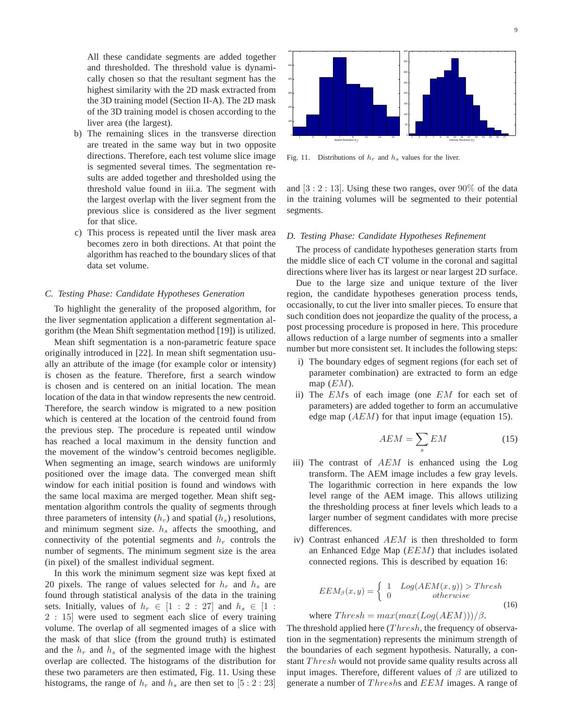All these candidate segments are added together and thresholded. The threshold value is dynamically chosen so that the resultant segment has the highest similarity with the 2D mask extracted from the 3D training model (Section II-A). The 2D mask of the 3D training model is chosen according to the liver area (the largest).

- b) The remaining slices in the transverse direction are treated in the same way but in two opposite directions. Therefore, each test volume slice image is segmented several times. The segmentation results are added together and thresholded using the threshold value found in iii.a. The segment with the largest overlap with the liver segment from the previous slice is considered as the liver segment for that slice.
- c) This process is repeated until the liver mask area becomes zero in both directions. At that point the algorithm has reached to the boundary slices of that data set volume.

#### *C. Testing Phase: Candidate Hypotheses Generation*

To highlight the generality of the proposed algorithm, for the liver segmentation application a different segmentation algorithm (the Mean Shift segmentation method [19]) is utilized.

Mean shift segmentation is a non-parametric feature space originally introduced in [22]. In mean shift segmentation usually an attribute of the image (for example color or intensity) is chosen as the feature. Therefore, first a search window is chosen and is centered on an initial location. The mean location of the data in that window represents the new centroid. Therefore, the search window is migrated to a new position which is centered at the location of the centroid found from the previous step. The procedure is repeated until window has reached a local maximum in the density function and the movement of the window's centroid becomes negligible. When segmenting an image, search windows are uniformly positioned over the image data. The converged mean shift window for each initial position is found and windows with the same local maxima are merged together. Mean shift segmentation algorithm controls the quality of segments through three parameters of intensity  $(h_r)$  and spatial  $(h_s)$  resolutions, and minimum segment size.  $h_s$  affects the smoothing, and connectivity of the potential segments and  $h_r$  controls the number of segments. The minimum segment size is the area (in pixel) of the smallest individual segment.

In this work the minimum segment size was kept fixed at 20 pixels. The range of values selected for  $h_r$  and  $h_s$  are found through statistical analysis of the data in the training sets. Initially, values of  $h_r \in [1 : 2 : 27]$  and  $h_s \in [1 : 2 : 27]$ 2 : 15] were used to segment each slice of every training volume. The overlap of all segmented images of a slice with the mask of that slice (from the ground truth) is estimated and the  $h_r$  and  $h_s$  of the segmented image with the highest overlap are collected. The histograms of the distribution for these two parameters are then estimated, Fig. 11. Using these histograms, the range of  $h_r$  and  $h_s$  are then set to [5 : 2 : 23]



Fig. 11. Distributions of  $h_r$  and  $h_s$  values for the liver.

and  $[3:2:13]$ . Using these two ranges, over  $90\%$  of the data in the training volumes will be segmented to their potential segments.

## *D. Testing Phase: Candidate Hypotheses Refinement*

The process of candidate hypotheses generation starts from the middle slice of each CT volume in the coronal and sagittal directions where liver has its largest or near largest 2D surface.

Due to the large size and unique texture of the liver region, the candidate hypotheses generation process tends, occasionally, to cut the liver into smaller pieces. To ensure that such condition does not jeopardize the quality of the process, a post processing procedure is proposed in here. This procedure allows reduction of a large number of segments into a smaller number but more consistent set. It includes the following steps:

- i) The boundary edges of segment regions (for each set of parameter combination) are extracted to form an edge map  $(EM)$ .
- ii) The EMs of each image (one EM for each set of parameters) are added together to form an accumulative edge map  $(AEM)$  for that input image (equation 15).

$$
AEM = \sum_{s} EM \tag{15}
$$

- iii) The contrast of AEM is enhanced using the Log transform. The AEM image includes a few gray levels. The logarithmic correction in here expands the low level range of the AEM image. This allows utilizing the thresholding process at finer levels which leads to a larger number of segment candidates with more precise differences.
- iv) Contrast enhanced AEM is then thresholded to form an Enhanced Edge Map  $(EEM)$  that includes isolated connected regions. This is described by equation 16:

$$
EEM_{\beta}(x, y) = \begin{cases} 1 & Log(AEM(x, y)) > Threshold \\ 0 & otherwise \end{cases}
$$
  
where 
$$
Thresh = max(max(Log(AEM)))/\beta.
$$
 (16)

The threshold applied here  $(Thresh,$  the frequency of observation in the segmentation) represents the minimum strength of the boundaries of each segment hypothesis. Naturally, a constant Thresh would not provide same quality results across all input images. Therefore, different values of  $\beta$  are utilized to generate a number of  $Threshs$  and  $EEM$  images. A range of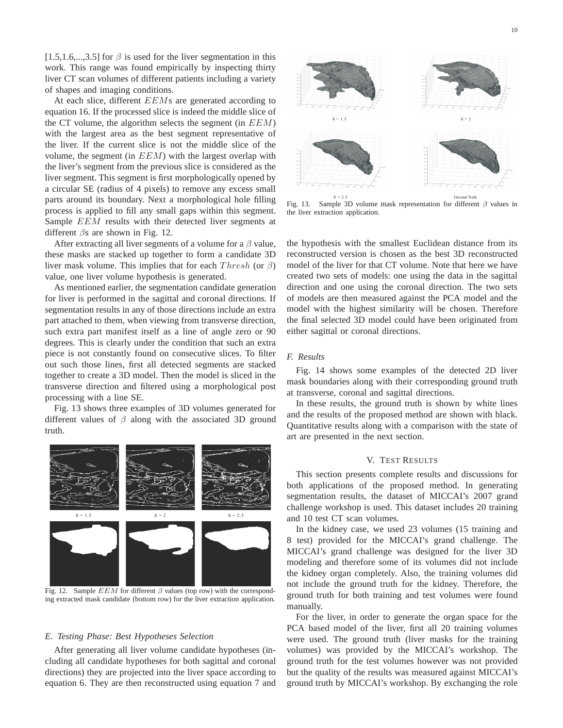[1.5,1.6,...,3.5] for  $\beta$  is used for the liver segmentation in this work. This range was found empirically by inspecting thirty liver CT scan volumes of different patients including a variety of shapes and imaging conditions.

At each slice, different EEMs are generated according to equation 16. If the processed slice is indeed the middle slice of the CT volume, the algorithm selects the segment (in  $EEM$ ) with the largest area as the best segment representative of the liver. If the current slice is not the middle slice of the volume, the segment (in  $EEM$ ) with the largest overlap with the liver's segment from the previous slice is considered as the liver segment. This segment is first morphologically opened by a circular SE (radius of 4 pixels) to remove any excess small parts around its boundary. Next a morphological hole filling process is applied to fill any small gaps within this segment. Sample EEM results with their detected liver segments at different  $\beta$ s are shown in Fig. 12.

After extracting all liver segments of a volume for a  $\beta$  value, these masks are stacked up together to form a candidate 3D liver mask volume. This implies that for each  $Thresh$  (or  $\beta$ ) value, one liver volume hypothesis is generated.

As mentioned earlier, the segmentation candidate generation for liver is performed in the sagittal and coronal directions. If segmentation results in any of those directions include an extra part attached to them, when viewing from transverse direction, such extra part manifest itself as a line of angle zero or 90 degrees. This is clearly under the condition that such an extra piece is not constantly found on consecutive slices. To filter out such those lines, first all detected segments are stacked together to create a 3D model. Then the model is sliced in the transverse direction and filtered using a morphological post processing with a line SE.

Fig. 13 shows three examples of 3D volumes generated for different values of  $\beta$  along with the associated 3D ground truth.



Fig. 12. Sample  $EEM$  for different  $\beta$  values (top row) with the corresponding extracted mask candidate (bottom row) for the liver extraction application.

## *E. Testing Phase: Best Hypotheses Selection*

After generating all liver volume candidate hypotheses (including all candidate hypotheses for both sagittal and coronal directions) they are projected into the liver space according to equation 6. They are then reconstructed using equation 7 and



Fig. 13. Sample 3D volume mask representation for different  $\beta$  values in the liver extraction application.

the hypothesis with the smallest Euclidean distance from its reconstructed version is chosen as the best 3D reconstructed model of the liver for that CT volume. Note that here we have created two sets of models: one using the data in the sagittal direction and one using the coronal direction. The two sets of models are then measured against the PCA model and the model with the highest similarity will be chosen. Therefore the final selected 3D model could have been originated from either sagittal or coronal directions.

## *F. Results*

Fig. 14 shows some examples of the detected 2D liver mask boundaries along with their corresponding ground truth at transverse, coronal and sagittal directions.

In these results, the ground truth is shown by white lines and the results of the proposed method are shown with black. Quantitative results along with a comparison with the state of art are presented in the next section.

#### V. TEST RESULTS

This section presents complete results and discussions for both applications of the proposed method. In generating segmentation results, the dataset of MICCAI's 2007 grand challenge workshop is used. This dataset includes 20 training and 10 test CT scan volumes.

In the kidney case, we used 23 volumes (15 training and 8 test) provided for the MICCAI's grand challenge. The MICCAI's grand challenge was designed for the liver 3D modeling and therefore some of its volumes did not include the kidney organ completely. Also, the training volumes did not include the ground truth for the kidney. Therefore, the ground truth for both training and test volumes were found manually.

For the liver, in order to generate the organ space for the PCA based model of the liver, first all 20 training volumes were used. The ground truth (liver masks for the training volumes) was provided by the MICCAI's workshop. The ground truth for the test volumes however was not provided but the quality of the results was measured against MICCAI's ground truth by MICCAI's workshop. By exchanging the role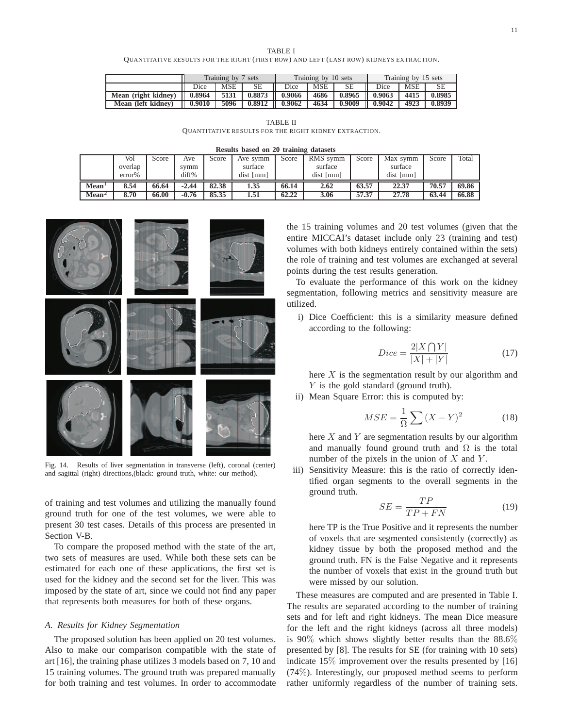11

TABLE I QUANTITATIVE RESULTS FOR THE RIGHT (FIRST ROW) AND LEFT (LAST ROW) KIDNEYS EXTRACTION.

|                                    | Training by 7 sets |     |                                                                                                          | Training by 10 sets |                  |                    | Training by 15 sets |      |        |
|------------------------------------|--------------------|-----|----------------------------------------------------------------------------------------------------------|---------------------|------------------|--------------------|---------------------|------|--------|
|                                    | Dice               | MSE | SE                                                                                                       | Dice                | MSE <sup>1</sup> | SЕ                 | Dice                | MSE  | SЕ     |
| Mean (right kidney) $\vert$ 0.8964 |                    |     | $\begin{array}{ c c c c c c c c } \hline \text{5131} & \text{0.8873} & \text{0.9066} \hline \end{array}$ |                     |                  | 4686 0.8965 0.9063 |                     | 4415 | 0.8985 |
| Mean (left kidney) 0.9010          |                    |     | $5096$ 0.8912 0.9062                                                                                     |                     |                  | 4634 0.9009 0.9042 |                     | 4923 | 0.8939 |

TABLE II QUANTITATIVE RESULTS FOR THE RIGHT KIDNEY EXTRACTION.

|  |  | Results based on 20 training datasets |  |
|--|--|---------------------------------------|--|
|  |  |                                       |  |

|                              | Vol     | Score | Ave     | Score | Ave symm  | Score | RMS symm  | Score | Max symm  | Score | Total |
|------------------------------|---------|-------|---------|-------|-----------|-------|-----------|-------|-----------|-------|-------|
|                              | overlap |       | svmm    |       | surface   |       | surface   |       | surface   |       |       |
|                              | error%  |       | diff%   |       | dist [mm] |       | dist [mm] |       | dist [mm] |       |       |
| $\mathbf{Mean}^{\mathsf{I}}$ | 8.54    | 66.64 | $-2.44$ | 82.38 | 1.35      | 66.14 | 2.62      | 63.57 | 22.37     | 70.57 | 69.86 |
| $Mean2$                      | 8.70    | 66.00 | $-0.76$ | 85.35 | 1.51      | 62.22 | 3.06      | 57.37 | 27.78     | 63.44 | 66.88 |



Fig. 14. Results of liver segmentation in transverse (left), coronal (center) and sagittal (right) directions,(black: ground truth, white: our method).

of training and test volumes and utilizing the manually found ground truth for one of the test volumes, we were able to present 30 test cases. Details of this process are presented in Section V-B.

To compare the proposed method with the state of the art, two sets of measures are used. While both these sets can be estimated for each one of these applications, the first set is used for the kidney and the second set for the liver. This was imposed by the state of art, since we could not find any paper that represents both measures for both of these organs.

## *A. Results for Kidney Segmentation*

The proposed solution has been applied on 20 test volumes. Also to make our comparison compatible with the state of art [16], the training phase utilizes 3 models based on 7, 10 and 15 training volumes. The ground truth was prepared manually for both training and test volumes. In order to accommodate the 15 training volumes and 20 test volumes (given that the entire MICCAI's dataset include only 23 (training and test) volumes with both kidneys entirely contained within the sets) the role of training and test volumes are exchanged at several points during the test results generation.

To evaluate the performance of this work on the kidney segmentation, following metrics and sensitivity measure are utilized.

i) Dice Coefficient: this is a similarity measure defined according to the following:

$$
Dice = \frac{2|X \bigcap Y|}{|X| + |Y|}
$$
\n(17)

here  $X$  is the segmentation result by our algorithm and Y is the gold standard (ground truth).

ii) Mean Square Error: this is computed by:

$$
MSE = \frac{1}{\Omega} \sum (X - Y)^2 \tag{18}
$$

here  $X$  and  $Y$  are segmentation results by our algorithm and manually found ground truth and  $\Omega$  is the total number of the pixels in the union of  $X$  and  $Y$ .

iii) Sensitivity Measure: this is the ratio of correctly identified organ segments to the overall segments in the ground truth.

$$
SE = \frac{TP}{TP + FN} \tag{19}
$$

here TP is the True Positive and it represents the number of voxels that are segmented consistently (correctly) as kidney tissue by both the proposed method and the ground truth. FN is the False Negative and it represents the number of voxels that exist in the ground truth but were missed by our solution.

These measures are computed and are presented in Table I. The results are separated according to the number of training sets and for left and right kidneys. The mean Dice measure for the left and the right kidneys (across all three models) is 90% which shows slightly better results than the 88.6% presented by [8]. The results for SE (for training with 10 sets) indicate 15% improvement over the results presented by [16] (74%). Interestingly, our proposed method seems to perform rather uniformly regardless of the number of training sets.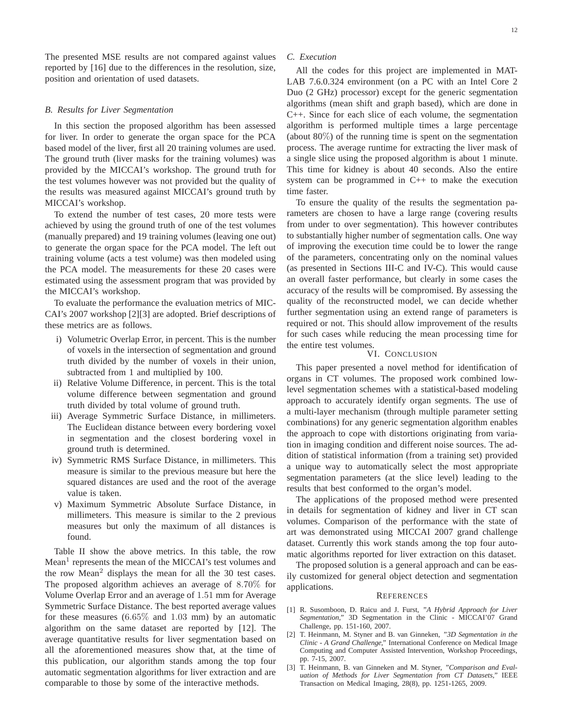The presented MSE results are not compared against values reported by [16] due to the differences in the resolution, size, position and orientation of used datasets.

#### *B. Results for Liver Segmentation*

In this section the proposed algorithm has been assessed for liver. In order to generate the organ space for the PCA based model of the liver, first all 20 training volumes are used. The ground truth (liver masks for the training volumes) was provided by the MICCAI's workshop. The ground truth for the test volumes however was not provided but the quality of the results was measured against MICCAI's ground truth by MICCAI's workshop.

To extend the number of test cases, 20 more tests were achieved by using the ground truth of one of the test volumes (manually prepared) and 19 training volumes (leaving one out) to generate the organ space for the PCA model. The left out training volume (acts a test volume) was then modeled using the PCA model. The measurements for these 20 cases were estimated using the assessment program that was provided by the MICCAI's workshop.

To evaluate the performance the evaluation metrics of MIC-CAI's 2007 workshop [2][3] are adopted. Brief descriptions of these metrics are as follows.

- i) Volumetric Overlap Error, in percent. This is the number of voxels in the intersection of segmentation and ground truth divided by the number of voxels in their union, subtracted from 1 and multiplied by 100.
- ii) Relative Volume Difference, in percent. This is the total volume difference between segmentation and ground truth divided by total volume of ground truth.
- iii) Average Symmetric Surface Distance, in millimeters. The Euclidean distance between every bordering voxel in segmentation and the closest bordering voxel in ground truth is determined.
- iv) Symmetric RMS Surface Distance, in millimeters. This measure is similar to the previous measure but here the squared distances are used and the root of the average value is taken.
- v) Maximum Symmetric Absolute Surface Distance, in millimeters. This measure is similar to the 2 previous measures but only the maximum of all distances is found.

Table II show the above metrics. In this table, the row Mean<sup>1</sup> represents the mean of the MICCAI's test volumes and the row Mean<sup>2</sup> displays the mean for all the 30 test cases. The proposed algorithm achieves an average of 8.70% for Volume Overlap Error and an average of 1.51 mm for Average Symmetric Surface Distance. The best reported average values for these measures  $(6.65\%$  and  $1.03$  mm) by an automatic algorithm on the same dataset are reported by [12]. The average quantitative results for liver segmentation based on all the aforementioned measures show that, at the time of this publication, our algorithm stands among the top four automatic segmentation algorithms for liver extraction and are comparable to those by some of the interactive methods.

#### *C. Execution*

All the codes for this project are implemented in MAT-LAB 7.6.0.324 environment (on a PC with an Intel Core 2 Duo (2 GHz) processor) except for the generic segmentation algorithms (mean shift and graph based), which are done in C++. Since for each slice of each volume, the segmentation algorithm is performed multiple times a large percentage (about 80%) of the running time is spent on the segmentation process. The average runtime for extracting the liver mask of a single slice using the proposed algorithm is about 1 minute. This time for kidney is about 40 seconds. Also the entire system can be programmed in C++ to make the execution time faster.

To ensure the quality of the results the segmentation parameters are chosen to have a large range (covering results from under to over segmentation). This however contributes to substantially higher number of segmentation calls. One way of improving the execution time could be to lower the range of the parameters, concentrating only on the nominal values (as presented in Sections III-C and IV-C). This would cause an overall faster performance, but clearly in some cases the accuracy of the results will be compromised. By assessing the quality of the reconstructed model, we can decide whether further segmentation using an extend range of parameters is required or not. This should allow improvement of the results for such cases while reducing the mean processing time for the entire test volumes.

# VI. CONCLUSION

This paper presented a novel method for identification of organs in CT volumes. The proposed work combined lowlevel segmentation schemes with a statistical-based modeling approach to accurately identify organ segments. The use of a multi-layer mechanism (through multiple parameter setting combinations) for any generic segmentation algorithm enables the approach to cope with distortions originating from variation in imaging condition and different noise sources. The addition of statistical information (from a training set) provided a unique way to automatically select the most appropriate segmentation parameters (at the slice level) leading to the results that best conformed to the organ's model.

The applications of the proposed method were presented in details for segmentation of kidney and liver in CT scan volumes. Comparison of the performance with the state of art was demonstrated using MICCAI 2007 grand challenge dataset. Currently this work stands among the top four automatic algorithms reported for liver extraction on this dataset.

The proposed solution is a general approach and can be easily customized for general object detection and segmentation applications.

#### **REFERENCES**

- [1] R. Susomboon, D. Raicu and J. Furst, *"A Hybrid Approach for Liver Segmentation,"* 3D Segmentation in the Clinic - MICCAI'07 Grand Challenge, pp. 151-160, 2007.
- [2] T. Heinmann, M. Styner and B. van Ginneken, *"3D Segmentation in the Clinic - A Grand Challenge,"* International Conference on Medical Image Computing and Computer Assisted Intervention, Workshop Proceedings, pp. 7-15, 2007.
- [3] T. Heinmann, B. van Ginneken and M. Styner, *"Comparison and Evaluation of Methods for Liver Segmentation from CT Datasets,"* IEEE Transaction on Medical Imaging, 28(8), pp. 1251-1265, 2009.